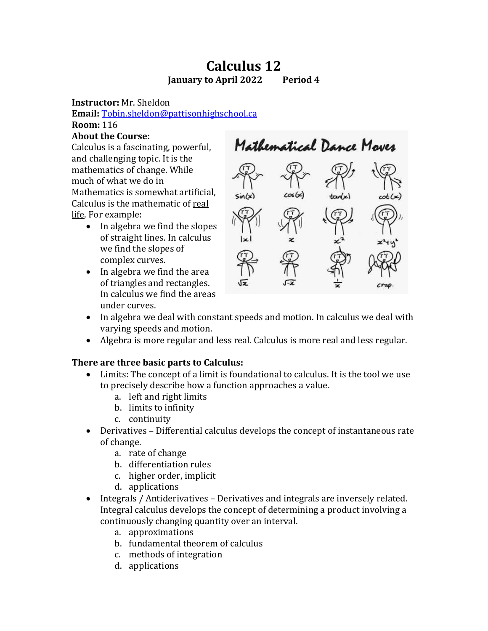# **Calculus 12 January to April 2022 Period 4**

**Instructor:** Mr. Sheldon

**Email:** [Tobin.sheldon@pattisonhighschool.ca](mailto:Tobin.sheldon@pattisonhighschool.ca)

**Room:** 116

## **About the Course:**

Calculus is a fascinating, powerful, and challenging topic. It is the mathematics of change. While much of what we do in Mathematics is somewhat artificial, Calculus is the mathematic of real life. For example:

- In algebra we find the slopes of straight lines. In calculus we find the slopes of complex curves.
- In algebra we find the area of triangles and rectangles. In calculus we find the areas under curves.



- In algebra we deal with constant speeds and motion. In calculus we deal with varying speeds and motion.
- Algebra is more regular and less real. Calculus is more real and less regular.

## **There are three basic parts to Calculus:**

- Limits: The concept of a limit is foundational to calculus. It is the tool we use to precisely describe how a function approaches a value.
	- a. left and right limits
	- b. limits to infinity
	- c. continuity
- Derivatives Differential calculus develops the concept of instantaneous rate of change.
	- a. rate of change
	- b. differentiation rules
	- c. higher order, implicit
	- d. applications
- Integrals / Antiderivatives Derivatives and integrals are inversely related. Integral calculus develops the concept of determining a product involving a continuously changing quantity over an interval.
	- a. approximations
	- b. fundamental theorem of calculus
	- c. methods of integration
	- d. applications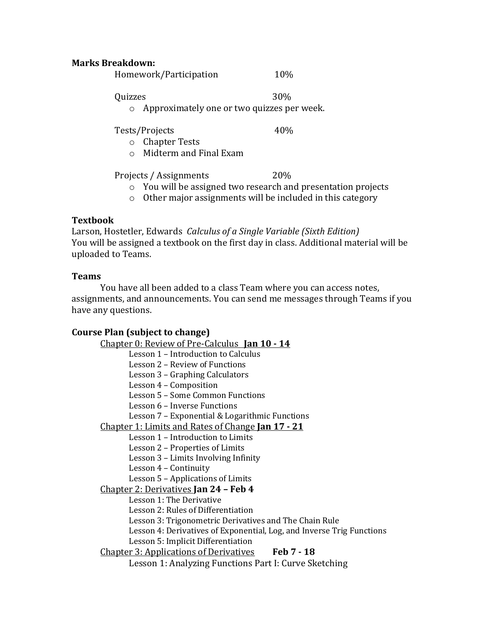#### **Marks Breakdown:**

Homework/Participation 10%

Quizzes 30%

o Approximately one or two quizzes per week.

Tests/Projects 40%

- o Chapter Tests
- o Midterm and Final Exam

Projects / Assignments 20%

- o You will be assigned two research and presentation projects
- o Other major assignments will be included in this category

## **Textbook**

Larson, Hostetler, Edwards *Calculus of a Single Variable (Sixth Edition)* You will be assigned a textbook on the first day in class. Additional material will be uploaded to Teams.

## **Teams**

You have all been added to a class Team where you can access notes, assignments, and announcements. You can send me messages through Teams if you have any questions.

## **Course Plan (subject to change)**

Chapter 0: Review of Pre-Calculus **Jan 10 - 14** Lesson 1 – Introduction to Calculus Lesson 2 – Review of Functions Lesson 3 – Graphing Calculators Lesson 4 – Composition Lesson 5 – Some Common Functions Lesson 6 – Inverse Functions Lesson 7 – Exponential & Logarithmic Functions Chapter 1: Limits and Rates of Change **Jan 17 - 21** Lesson 1 – Introduction to Limits Lesson 2 – Properties of Limits Lesson 3 – Limits Involving Infinity Lesson 4 – Continuity Lesson 5 – Applications of Limits Chapter 2: Derivatives **Jan 24 – Feb 4** Lesson 1: The Derivative Lesson 2: Rules of Differentiation Lesson 3: Trigonometric Derivatives and The Chain Rule Lesson 4: Derivatives of Exponential, Log, and Inverse Trig Functions Lesson 5: Implicit Differentiation Chapter 3: Applications of Derivatives **Feb 7 - 18** Lesson 1: Analyzing Functions Part I: Curve Sketching